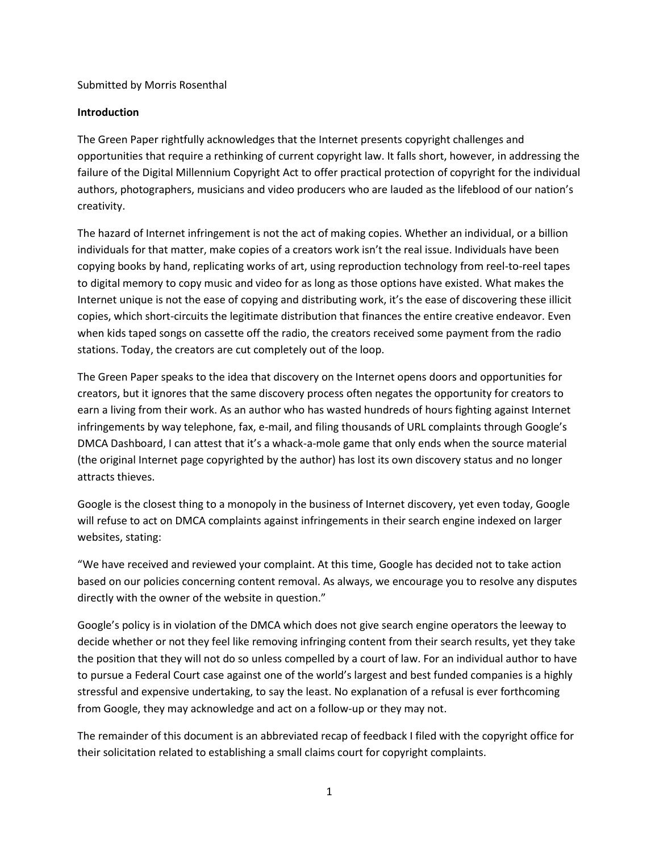### Submitted by Morris Rosenthal

### **Introduction**

The Green Paper rightfully acknowledges that the Internet presents copyright challenges and opportunities that require a rethinking of current copyright law. It falls short, however, in addressing the failure of the Digital Millennium Copyright Act to offer practical protection of copyright for the individual authors, photographers, musicians and video producers who are lauded as the lifeblood of our nation's creativity.

The hazard of Internet infringement is not the act of making copies. Whether an individual, or a billion individuals for that matter, make copies of a creators work isn't the real issue. Individuals have been copying books by hand, replicating works of art, using reproduction technology from reel-to-reel tapes to digital memory to copy music and video for as long as those options have existed. What makes the Internet unique is not the ease of copying and distributing work, it's the ease of discovering these illicit copies, which short-circuits the legitimate distribution that finances the entire creative endeavor. Even when kids taped songs on cassette off the radio, the creators received some payment from the radio stations. Today, the creators are cut completely out of the loop.

The Green Paper speaks to the idea that discovery on the Internet opens doors and opportunities for creators, but it ignores that the same discovery process often negates the opportunity for creators to earn a living from their work. As an author who has wasted hundreds of hours fighting against Internet infringements by way telephone, fax, e-mail, and filing thousands of URL complaints through Google's DMCA Dashboard, I can attest that it's a whack-a-mole game that only ends when the source material (the original Internet page copyrighted by the author) has lost its own discovery status and no longer attracts thieves.

Google is the closest thing to a monopoly in the business of Internet discovery, yet even today, Google will refuse to act on DMCA complaints against infringements in their search engine indexed on larger websites, stating:

"We have received and reviewed your complaint. At this time, Google has decided not to take action based on our policies concerning content removal. As always, we encourage you to resolve any disputes directly with the owner of the website in question."

Google's policy is in violation of the DMCA which does not give search engine operators the leeway to decide whether or not they feel like removing infringing content from their search results, yet they take the position that they will not do so unless compelled by a court of law. For an individual author to have to pursue a Federal Court case against one of the world's largest and best funded companies is a highly stressful and expensive undertaking, to say the least. No explanation of a refusal is ever forthcoming from Google, they may acknowledge and act on a follow-up or they may not.

The remainder of this document is an abbreviated recap of feedback I filed with the copyright office for their solicitation related to establishing a small claims court for copyright complaints.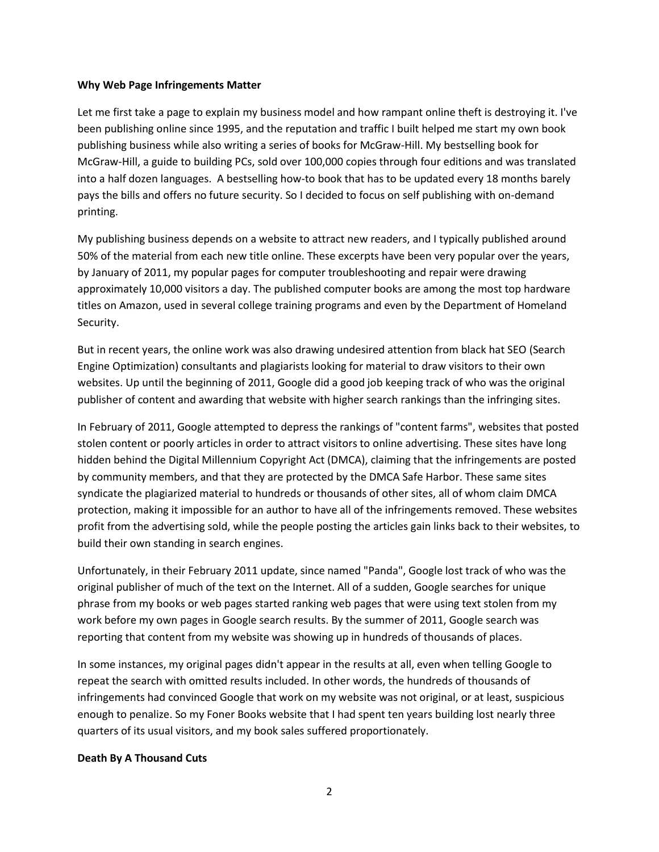#### **Why Web Page Infringements Matter**

Let me first take a page to explain my business model and how rampant online theft is destroying it. I've been publishing online since 1995, and the reputation and traffic I built helped me start my own book publishing business while also writing a series of books for McGraw-Hill. My bestselling book for McGraw-Hill, a guide to building PCs, sold over 100,000 copies through four editions and was translated into a half dozen languages. A bestselling how-to book that has to be updated every 18 months barely pays the bills and offers no future security. So I decided to focus on self publishing with on-demand printing.

My publishing business depends on a website to attract new readers, and I typically published around 50% of the material from each new title online. These excerpts have been very popular over the years, by January of 2011, my popular pages for computer troubleshooting and repair were drawing approximately 10,000 visitors a day. The published computer books are among the most top hardware titles on Amazon, used in several college training programs and even by the Department of Homeland Security.

But in recent years, the online work was also drawing undesired attention from black hat SEO (Search Engine Optimization) consultants and plagiarists looking for material to draw visitors to their own websites. Up until the beginning of 2011, Google did a good job keeping track of who was the original publisher of content and awarding that website with higher search rankings than the infringing sites.

In February of 2011, Google attempted to depress the rankings of "content farms", websites that posted stolen content or poorly articles in order to attract visitors to online advertising. These sites have long hidden behind the Digital Millennium Copyright Act (DMCA), claiming that the infringements are posted by community members, and that they are protected by the DMCA Safe Harbor. These same sites syndicate the plagiarized material to hundreds or thousands of other sites, all of whom claim DMCA protection, making it impossible for an author to have all of the infringements removed. These websites profit from the advertising sold, while the people posting the articles gain links back to their websites, to build their own standing in search engines.

Unfortunately, in their February 2011 update, since named "Panda", Google lost track of who was the original publisher of much of the text on the Internet. All of a sudden, Google searches for unique phrase from my books or web pages started ranking web pages that were using text stolen from my work before my own pages in Google search results. By the summer of 2011, Google search was reporting that content from my website was showing up in hundreds of thousands of places.

In some instances, my original pages didn't appear in the results at all, even when telling Google to repeat the search with omitted results included. In other words, the hundreds of thousands of infringements had convinced Google that work on my website was not original, or at least, suspicious enough to penalize. So my Foner Books website that I had spent ten years building lost nearly three quarters of its usual visitors, and my book sales suffered proportionately.

# **Death By A Thousand Cuts**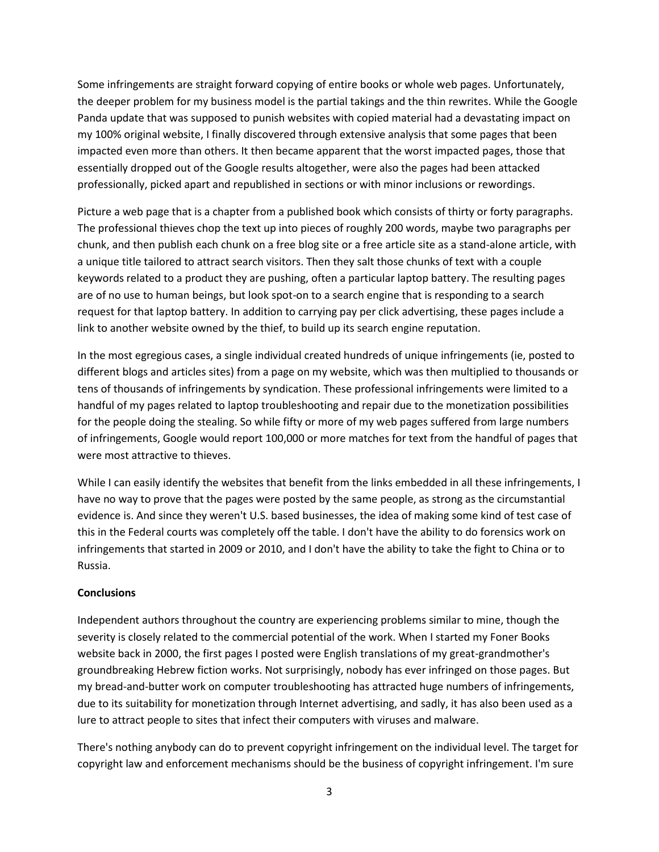Some infringements are straight forward copying of entire books or whole web pages. Unfortunately, the deeper problem for my business model is the partial takings and the thin rewrites. While the Google Panda update that was supposed to punish websites with copied material had a devastating impact on my 100% original website, I finally discovered through extensive analysis that some pages that been impacted even more than others. It then became apparent that the worst impacted pages, those that essentially dropped out of the Google results altogether, were also the pages had been attacked professionally, picked apart and republished in sections or with minor inclusions or rewordings.

Picture a web page that is a chapter from a published book which consists of thirty or forty paragraphs. The professional thieves chop the text up into pieces of roughly 200 words, maybe two paragraphs per chunk, and then publish each chunk on a free blog site or a free article site as a stand-alone article, with a unique title tailored to attract search visitors. Then they salt those chunks of text with a couple keywords related to a product they are pushing, often a particular laptop battery. The resulting pages are of no use to human beings, but look spot-on to a search engine that is responding to a search request for that laptop battery. In addition to carrying pay per click advertising, these pages include a link to another website owned by the thief, to build up its search engine reputation.

In the most egregious cases, a single individual created hundreds of unique infringements (ie, posted to different blogs and articles sites) from a page on my website, which was then multiplied to thousands or tens of thousands of infringements by syndication. These professional infringements were limited to a handful of my pages related to laptop troubleshooting and repair due to the monetization possibilities for the people doing the stealing. So while fifty or more of my web pages suffered from large numbers of infringements, Google would report 100,000 or more matches for text from the handful of pages that were most attractive to thieves.

While I can easily identify the websites that benefit from the links embedded in all these infringements, I have no way to prove that the pages were posted by the same people, as strong as the circumstantial evidence is. And since they weren't U.S. based businesses, the idea of making some kind of test case of this in the Federal courts was completely off the table. I don't have the ability to do forensics work on infringements that started in 2009 or 2010, and I don't have the ability to take the fight to China or to Russia.

# **Conclusions**

Independent authors throughout the country are experiencing problems similar to mine, though the severity is closely related to the commercial potential of the work. When I started my Foner Books website back in 2000, the first pages I posted were English translations of my great-grandmother's groundbreaking Hebrew fiction works. Not surprisingly, nobody has ever infringed on those pages. But my bread-and-butter work on computer troubleshooting has attracted huge numbers of infringements, due to its suitability for monetization through Internet advertising, and sadly, it has also been used as a lure to attract people to sites that infect their computers with viruses and malware.

There's nothing anybody can do to prevent copyright infringement on the individual level. The target for copyright law and enforcement mechanisms should be the business of copyright infringement. I'm sure